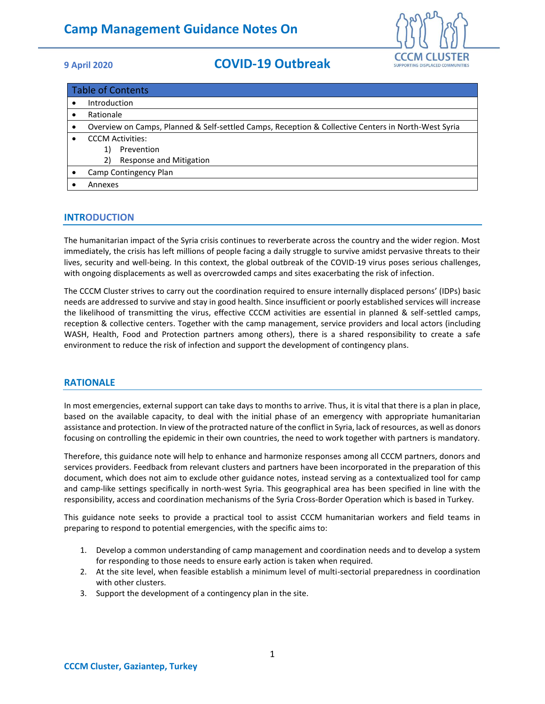

| <b>Table of Contents</b> |                                                                                                     |
|--------------------------|-----------------------------------------------------------------------------------------------------|
|                          | Introduction                                                                                        |
|                          | Rationale                                                                                           |
|                          | Overview on Camps, Planned & Self-settled Camps, Reception & Collective Centers in North-West Syria |
|                          | <b>CCCM Activities:</b>                                                                             |
|                          | Prevention<br>1)                                                                                    |
|                          | Response and Mitigation<br>2)                                                                       |
|                          | Camp Contingency Plan                                                                               |
|                          | Annexes                                                                                             |

## **INTRODUCTION**

The humanitarian impact of the Syria crisis continues to reverberate across the country and the wider region. Most immediately, the crisis has left millions of people facing a daily struggle to survive amidst pervasive threats to their lives, security and well-being. In this context, the global outbreak of the COVID-19 virus poses serious challenges, with ongoing displacements as well as overcrowded camps and sites exacerbating the risk of infection.

The CCCM Cluster strives to carry out the coordination required to ensure internally displaced persons' (IDPs) basic needs are addressed to survive and stay in good health. Since insufficient or poorly established services will increase the likelihood of transmitting the virus, effective CCCM activities are essential in planned & self-settled camps, reception & collective centers. Together with the camp management, service providers and local actors (including WASH, Health, Food and Protection partners among others), there is a shared responsibility to create a safe environment to reduce the risk of infection and support the development of contingency plans.

### **RATIONALE**

In most emergencies, external support can take days to months to arrive. Thus, it is vital that there is a plan in place, based on the available capacity, to deal with the initial phase of an emergency with appropriate humanitarian assistance and protection. In view of the protracted nature of the conflict in Syria, lack of resources, as well as donors focusing on controlling the epidemic in their own countries, the need to work together with partners is mandatory.

Therefore, this guidance note will help to enhance and harmonize responses among all CCCM partners, donors and services providers. Feedback from relevant clusters and partners have been incorporated in the preparation of this document, which does not aim to exclude other guidance notes, instead serving as a contextualized tool for camp and camp-like settings specifically in north-west Syria. This geographical area has been specified in line with the responsibility, access and coordination mechanisms of the Syria Cross-Border Operation which is based in Turkey.

This guidance note seeks to provide a practical tool to assist CCCM humanitarian workers and field teams in preparing to respond to potential emergencies, with the specific aims to:

- 1. Develop a common understanding of camp management and coordination needs and to develop a system for responding to those needs to ensure early action is taken when required.
- 2. At the site level, when feasible establish a minimum level of multi-sectorial preparedness in coordination with other clusters.
- 3. Support the development of a contingency plan in the site.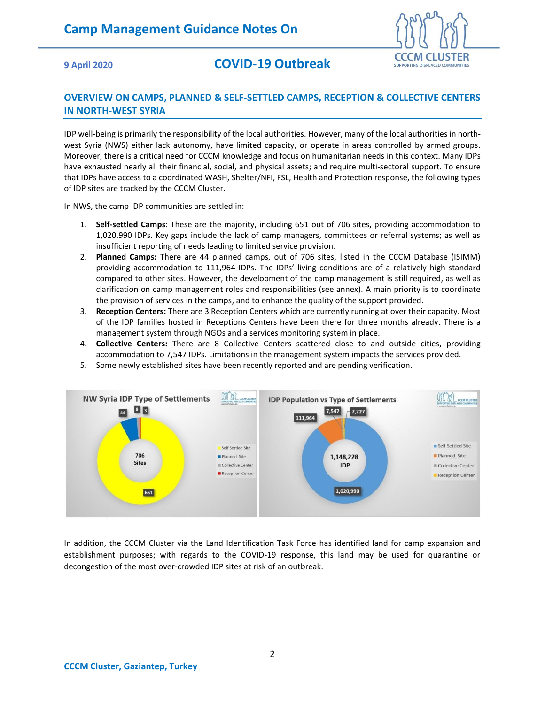

## **OVERVIEW ON CAMPS, PLANNED & SELF-SETTLED CAMPS, RECEPTION & COLLECTIVE CENTERS IN NORTH-WEST SYRIA**

IDP well-being is primarily the responsibility of the local authorities. However, many of the local authorities in northwest Syria (NWS) either lack autonomy, have limited capacity, or operate in areas controlled by armed groups. Moreover, there is a critical need for CCCM knowledge and focus on humanitarian needs in this context. Many IDPs have exhausted nearly all their financial, social, and physical assets; and require multi-sectoral support. To ensure that IDPs have access to a coordinated WASH, Shelter/NFI, FSL, Health and Protection response, the following types of IDP sites are tracked by the CCCM Cluster.

In NWS, the camp IDP communities are settled in:

- 1. **Self-settled Camps**: These are the majority, including 651 out of 706 sites, providing accommodation to 1,020,990 IDPs. Key gaps include the lack of camp managers, committees or referral systems; as well as insufficient reporting of needs leading to limited service provision.
- 2. **Planned Camps:** There are 44 planned camps, out of 706 sites, listed in the CCCM Database (ISIMM) providing accommodation to 111,964 IDPs. The IDPs' living conditions are of a relatively high standard compared to other sites. However, the development of the camp management is still required, as well as clarification on camp management roles and responsibilities (see annex). A main priority is to coordinate the provision of services in the camps, and to enhance the quality of the support provided.
- 3. **Reception Centers:** There are 3 Reception Centers which are currently running at over their capacity. Most of the IDP families hosted in Receptions Centers have been there for three months already. There is a management system through NGOs and a services monitoring system in place.
- 4. **Collective Centers:** There are 8 Collective Centers scattered close to and outside cities, providing accommodation to 7,547 IDPs. Limitations in the management system impacts the services provided.
- 5. Some newly established sites have been recently reported and are pending verification.



In addition, the CCCM Cluster via the Land Identification Task Force has identified land for camp expansion and establishment purposes; with regards to the COVID-19 response, this land may be used for quarantine or decongestion of the most over-crowded IDP sites at risk of an outbreak.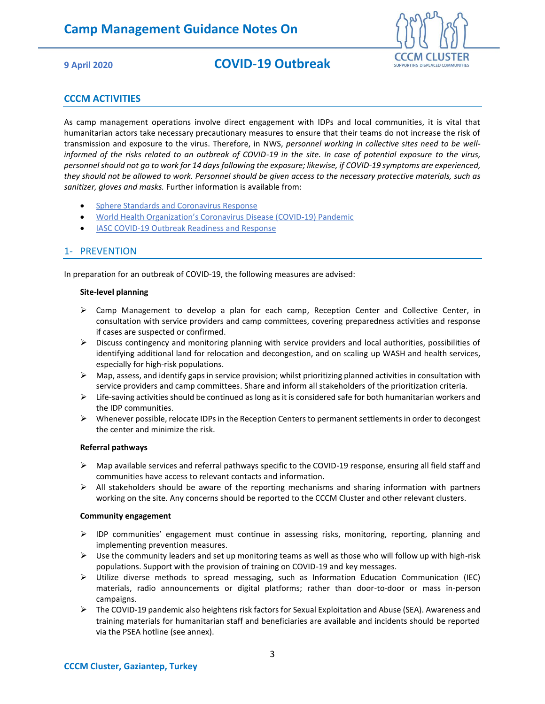

## **CCCM ACTIVITIES**

As camp management operations involve direct engagement with IDPs and local communities, it is vital that humanitarian actors take necessary precautionary measures to ensure that their teams do not increase the risk of transmission and exposure to the virus. Therefore, in NWS, *personnel working in collective sites need to be wellinformed of the risks related to an outbreak of COVID-19 in the site. In case of potential exposure to the virus, personnel should not go to work for 14 days following the exposure; likewise, if COVID-19 symptoms are experienced, they should not be allowed to work. Personnel should be given access to the necessary protective materials, such as sanitizer, gloves and masks.* Further information is available from:

- **[Sphere Standards and Coronavirus Response](https://spherestandards.org/coronavirus/)**
- [World Health Organization's Coronavirus Disease \(COVID](https://eur02.safelinks.protection.outlook.com/?url=https%3A%2F%2Fwww.who.int%2Femergencies%2Fdiseases%2Fnovel-coronavirus-2019&data=02%7C01%7Cdaviesa%40unhcr.org%7C5163b1af9d8a4ac1a19108d7d631c259%7Ce5c37981666441348a0c6543d2af80be%7C0%7C0%7C637213381508410075&sdata=zD%2B1NVYmKGSNCoiQ72Mw23Cusxm99C%2FMWkqPBKhIs0U%3D&reserved=0)-19) Pandemic
- [IASC COVID-19 Outbreak Readiness and Response](https://eur02.safelinks.protection.outlook.com/?url=https%3A%2F%2Finteragencystandingcommittee.org%2Fcovid-19-outbreak-readiness-and-response&data=02%7C01%7Cdaviesa%40unhcr.org%7C5163b1af9d8a4ac1a19108d7d631c259%7Ce5c37981666441348a0c6543d2af80be%7C0%7C0%7C637213381508420063&sdata=kO4BBCEqvjg1oJCbnzVyYHbQqlQl5fIMR0hllGWaae0%3D&reserved=0)

## 1- PREVENTION

In preparation for an outbreak of COVID-19, the following measures are advised:

#### **Site-level planning**

- ➢ Camp Management to develop a plan for each camp, Reception Center and Collective Center, in consultation with service providers and camp committees, covering preparedness activities and response if cases are suspected or confirmed.
- $\triangleright$  Discuss contingency and monitoring planning with service providers and local authorities, possibilities of identifying additional land for relocation and decongestion, and on scaling up WASH and health services, especially for high-risk populations.
- $\triangleright$  Map, assess, and identify gaps in service provision; whilst prioritizing planned activities in consultation with service providers and camp committees. Share and inform all stakeholders of the prioritization criteria.
- $\triangleright$  Life-saving activities should be continued as long as it is considered safe for both humanitarian workers and the IDP communities.
- ➢ Whenever possible, relocate IDPs in the Reception Centers to permanent settlements in order to decongest the center and minimize the risk.

#### **Referral pathways**

- ➢ Map available services and referral pathways specific to the COVID-19 response, ensuring all field staff and communities have access to relevant contacts and information.
- $\triangleright$  All stakeholders should be aware of the reporting mechanisms and sharing information with partners working on the site. Any concerns should be reported to the CCCM Cluster and other relevant clusters.

#### **Community engagement**

- $\triangleright$  IDP communities' engagement must continue in assessing risks, monitoring, reporting, planning and implementing prevention measures.
- $\triangleright$  Use the community leaders and set up monitoring teams as well as those who will follow up with high-risk populations. Support with the provision of training on COVID-19 and key messages.
- ➢ Utilize diverse methods to spread messaging, such as Information Education Communication (IEC) materials, radio announcements or digital platforms; rather than door-to-door or mass in-person campaigns.
- ➢ The COVID-19 pandemic also heightens risk factors for Sexual Exploitation and Abuse (SEA). Awareness and training materials for humanitarian staff and beneficiaries are available and incidents should be reported via the PSEA hotline (see annex).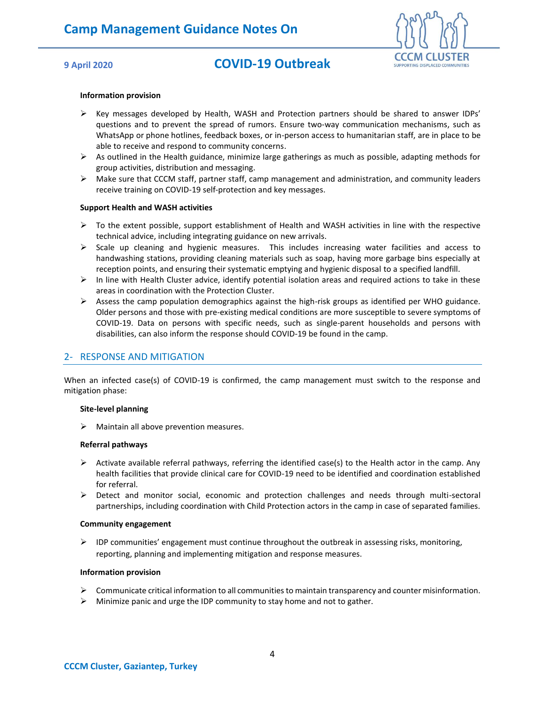

#### **Information provision**

- $\triangleright$  Key messages developed by Health, WASH and Protection partners should be shared to answer IDPs' questions and to prevent the spread of rumors. Ensure two-way communication mechanisms, such as WhatsApp or phone hotlines, feedback boxes, or in-person access to humanitarian staff, are in place to be able to receive and respond to community concerns.
- $\triangleright$  As outlined in the Health guidance, minimize large gatherings as much as possible, adapting methods for group activities, distribution and messaging.
- $\triangleright$  Make sure that CCCM staff, partner staff, camp management and administration, and community leaders receive training on COVID-19 self-protection and key messages.

#### **Support Health and WASH activities**

- $\triangleright$  To the extent possible, support establishment of Health and WASH activities in line with the respective technical advice, including integrating guidance on new arrivals.
- $\triangleright$  Scale up cleaning and hygienic measures. This includes increasing water facilities and access to handwashing stations, providing cleaning materials such as soap, having more garbage bins especially at reception points, and ensuring their systematic emptying and hygienic disposal to a specified landfill.
- $\triangleright$  In line with Health Cluster advice, identify potential isolation areas and required actions to take in these areas in coordination with the Protection Cluster.
- ➢ Assess the camp population demographics against the high-risk groups as identified per WHO guidance. Older persons and those with pre-existing medical conditions are more susceptible to severe symptoms of COVID-19. Data on persons with specific needs, such as single-parent households and persons with disabilities, can also inform the response should COVID-19 be found in the camp.

## 2- RESPONSE AND MITIGATION

When an infected case(s) of COVID-19 is confirmed, the camp management must switch to the response and mitigation phase:

#### **Site-level planning**

 $\triangleright$  Maintain all above prevention measures.

#### **Referral pathways**

- $\triangleright$  Activate available referral pathways, referring the identified case(s) to the Health actor in the camp. Any health facilities that provide clinical care for COVID-19 need to be identified and coordination established for referral.
- ➢ Detect and monitor social, economic and protection challenges and needs through multi-sectoral partnerships, including coordination with Child Protection actors in the camp in case of separated families.

#### **Community engagement**

➢ IDP communities' engagement must continue throughout the outbreak in assessing risks, monitoring, reporting, planning and implementing mitigation and response measures.

#### **Information provision**

- ➢ Communicate critical information to all communities to maintain transparency and counter misinformation.
- $\triangleright$  Minimize panic and urge the IDP community to stay home and not to gather.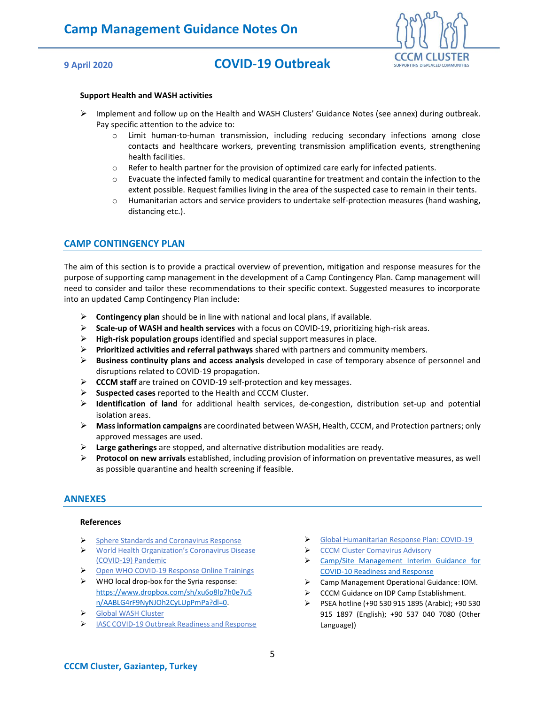

#### **Support Health and WASH activities**

- ➢ Implement and follow up on the Health and WASH Clusters' Guidance Notes (see annex) during outbreak. Pay specific attention to the advice to:
	- o Limit human-to-human transmission, including reducing secondary infections among close contacts and healthcare workers, preventing transmission amplification events, strengthening health facilities.
	- $\circ$  Refer to health partner for the provision of optimized care early for infected patients.
	- o Evacuate the infected family to medical quarantine for treatment and contain the infection to the extent possible. Request families living in the area of the suspected case to remain in their tents.
	- o Humanitarian actors and service providers to undertake self-protection measures (hand washing, distancing etc.).

### **CAMP CONTINGENCY PLAN**

The aim of this section is to provide a practical overview of prevention, mitigation and response measures for the purpose of supporting camp management in the development of a Camp Contingency Plan. Camp management will need to consider and tailor these recommendations to their specific context. Suggested measures to incorporate into an updated Camp Contingency Plan include:

- ➢ **Contingency plan** should be in line with national and local plans, if available.
- ➢ **Scale-up of WASH and health services** with a focus on COVID-19, prioritizing high-risk areas.
- ➢ **High-risk population groups** identified and special support measures in place.
- ➢ **Prioritized activities and referral pathways** shared with partners and community members.
- ➢ **Business continuity plans and access analysis** developed in case of temporary absence of personnel and disruptions related to COVID-19 propagation.
- ➢ **CCCM staff** are trained on COVID-19 self-protection and key messages.
- ➢ **Suspected cases** reported to the Health and CCCM Cluster.
- ➢ **Identification of land** for additional health services, de-congestion, distribution set-up and potential isolation areas.
- ➢ **Mass information campaigns** are coordinated between WASH, Health, CCCM, and Protection partners; only approved messages are used.
- ➢ **Large gatherings** are stopped, and alternative distribution modalities are ready.
- ➢ **Protocol on new arrivals** established, including provision of information on preventative measures, as well as possible quarantine and health screening if feasible.

### **ANNEXES**

#### **References**

- ➢ [Sphere Standards and Coronavirus Response](https://spherestandards.org/coronavirus/)
- ➢ [World Health Organization's Coronavirus Disease](https://eur02.safelinks.protection.outlook.com/?url=https%3A%2F%2Fwww.who.int%2Femergencies%2Fdiseases%2Fnovel-coronavirus-2019&data=02%7C01%7Cdaviesa%40unhcr.org%7C5163b1af9d8a4ac1a19108d7d631c259%7Ce5c37981666441348a0c6543d2af80be%7C0%7C0%7C637213381508410075&sdata=zD%2B1NVYmKGSNCoiQ72Mw23Cusxm99C%2FMWkqPBKhIs0U%3D&reserved=0)  [\(COVID-19\) Pandemic](https://eur02.safelinks.protection.outlook.com/?url=https%3A%2F%2Fwww.who.int%2Femergencies%2Fdiseases%2Fnovel-coronavirus-2019&data=02%7C01%7Cdaviesa%40unhcr.org%7C5163b1af9d8a4ac1a19108d7d631c259%7Ce5c37981666441348a0c6543d2af80be%7C0%7C0%7C637213381508410075&sdata=zD%2B1NVYmKGSNCoiQ72Mw23Cusxm99C%2FMWkqPBKhIs0U%3D&reserved=0)
- ➢ [Open WHO COVID-19 Response Online Trainings](https://openwho.org/channels/covid-19)
- $\triangleright$  WHO local drop-box for the Syria response: [https://www.dropbox.com/sh/xu6o8lp7h0e7u5](https://www.dropbox.com/sh/xu6o8lp7h0e7u5n/AABLG4rF9NyNJOh2CyLUpPmPa?dl=0) [n/AABLG4rF9NyNJOh2CyLUpPmPa?dl=0.](https://www.dropbox.com/sh/xu6o8lp7h0e7u5n/AABLG4rF9NyNJOh2CyLUpPmPa?dl=0)
- ➢ [Global WASH Cluster](https://docs.google.com/document/d/1YXrH8kQn8NGJOXOkpdxW-stsTsxM9L0PSRyMPkhNnOc/preview)
- ➢ [IASC COVID-19 Outbreak Readiness and Response](https://eur02.safelinks.protection.outlook.com/?url=https%3A%2F%2Finteragencystandingcommittee.org%2Fcovid-19-outbreak-readiness-and-response&data=02%7C01%7Cdaviesa%40unhcr.org%7C5163b1af9d8a4ac1a19108d7d631c259%7Ce5c37981666441348a0c6543d2af80be%7C0%7C0%7C637213381508420063&sdata=kO4BBCEqvjg1oJCbnzVyYHbQqlQl5fIMR0hllGWaae0%3D&reserved=0)
- ➢ [Global Humanitarian Response Plan: COVID-19](https://reliefweb.int/report/world/global-humanitarian-response-plan-covid-19-april-december-2020)
- ➢ [CCCM Cluster Cornavirus](https://cccmcluster.org/news/coronavirus-advisory) Advisory
- ➢ [Camp/Site Management](https://www.humanitarianresponse.info/en/op%C3%A9rations/d%C3%A9mocratic-republic-congo/document/campsite-management-interim-operational-guidance-covid) Interim Guidance for [COVID-10 Readiness and Response](https://www.humanitarianresponse.info/en/op%C3%A9rations/d%C3%A9mocratic-republic-congo/document/campsite-management-interim-operational-guidance-covid)
- ➢ Camp Management Operational Guidance: IOM.
- ➢ CCCM Guidance on IDP Camp Establishment.
- ➢ PSEA hotline (+90 530 915 1895 (Arabic); +90 530 915 1897 (English); +90 537 040 7080 (Other Language))